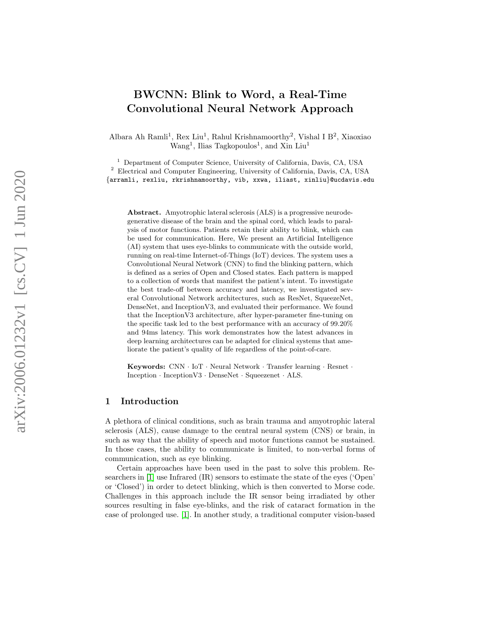# BWCNN: Blink to Word, a Real-Time Convolutional Neural Network Approach

Albara Ah Ramli<sup>1</sup>, Rex Liu<sup>1</sup>, Rahul Krishnamoorthy<sup>2</sup>, Vishal I B<sup>2</sup>, Xiaoxiao Wang<sup>1</sup>, Ilias Tagkopoulos<sup>1</sup>, and Xin Liu<sup>1</sup>

<sup>1</sup> Department of Computer Science, University of California, Davis, CA, USA <sup>2</sup> Electrical and Computer Engineering, University of California, Davis, CA, USA {arramli, rexliu, rkrishnamoorthy, vib, xxwa, iliast, xinliu }@ucdavis.edu

Abstract. Amyotrophic lateral sclerosis (ALS) is a progressive neurodegenerative disease of the brain and the spinal cord, which leads to paralysis of motor functions. Patients retain their ability to blink, which can be used for communication. Here, We present an Artificial Intelligence (AI) system that uses eye-blinks to communicate with the outside world, running on real-time Internet-of-Things (IoT) devices. The system uses a Convolutional Neural Network (CNN) to find the blinking pattern, which is defined as a series of Open and Closed states. Each pattern is mapped to a collection of words that manifest the patient's intent. To investigate the best trade-off between accuracy and latency, we investigated several Convolutional Network architectures, such as ResNet, SqueezeNet, DenseNet, and InceptionV3, and evaluated their performance. We found that the InceptionV3 architecture, after hyper-parameter fine-tuning on the specific task led to the best performance with an accuracy of 99.20% and 94ms latency. This work demonstrates how the latest advances in deep learning architectures can be adapted for clinical systems that ameliorate the patient's quality of life regardless of the point-of-care.

Keywords: CNN · IoT · Neural Network · Transfer learning · Resnet · Inception · InceptionV3 · DenseNet · Squeezenet · ALS.

# 1 Introduction

A plethora of clinical conditions, such as brain trauma and amyotrophic lateral sclerosis (ALS), cause damage to the central neural system (CNS) or brain, in such as way that the ability of speech and motor functions cannot be sustained. In those cases, the ability to communicate is limited, to non-verbal forms of communication, such as eye blinking.

Certain approaches have been used in the past to solve this problem. Researchers in [\[1\]](#page-7-0) use Infrared (IR) sensors to estimate the state of the eyes ('Open' or 'Closed') in order to detect blinking, which is then converted to Morse code. Challenges in this approach include the IR sensor being irradiated by other sources resulting in false eye-blinks, and the risk of cataract formation in the case of prolonged use. [\[1\]](#page-7-0). In another study, a traditional computer vision-based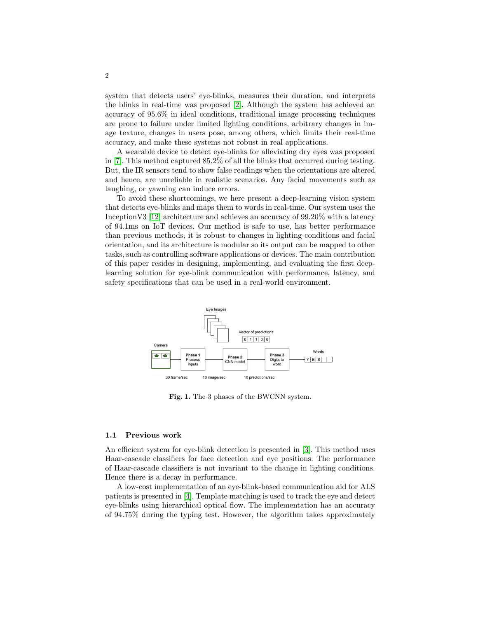system that detects users' eye-blinks, measures their duration, and interprets the blinks in real-time was proposed [\[2\]](#page-7-1). Although the system has achieved an accuracy of 95.6% in ideal conditions, traditional image processing techniques are prone to failure under limited lighting conditions, arbitrary changes in image texture, changes in users pose, among others, which limits their real-time accuracy, and make these systems not robust in real applications.

A wearable device to detect eye-blinks for alleviating dry eyes was proposed in [\[7\]](#page-7-2). This method captured 85.2% of all the blinks that occurred during testing. But, the IR sensors tend to show false readings when the orientations are altered and hence, are unreliable in realistic scenarios. Any facial movements such as laughing, or yawning can induce errors.

To avoid these shortcomings, we here present a deep-learning vision system that detects eye-blinks and maps them to words in real-time. Our system uses the InceptionV3 [\[12\]](#page-7-3) architecture and achieves an accuracy of 99.20% with a latency of 94.1ms on IoT devices. Our method is safe to use, has better performance than previous methods, it is robust to changes in lighting conditions and facial orientation, and its architecture is modular so its output can be mapped to other tasks, such as controlling software applications or devices. The main contribution of this paper resides in designing, implementing, and evaluating the first deeplearning solution for eye-blink communication with performance, latency, and safety specifications that can be used in a real-world environment.



<span id="page-1-0"></span>Fig. 1. The 3 phases of the BWCNN system.

#### 1.1 Previous work

An efficient system for eye-blink detection is presented in [\[3\]](#page-7-4). This method uses Haar-cascade classifiers for face detection and eye positions. The performance of Haar-cascade classifiers is not invariant to the change in lighting conditions. Hence there is a decay in performance.

A low-cost implementation of an eye-blink-based communication aid for ALS patients is presented in [\[4\]](#page-7-5). Template matching is used to track the eye and detect eye-blinks using hierarchical optical flow. The implementation has an accuracy of 94.75% during the typing test. However, the algorithm takes approximately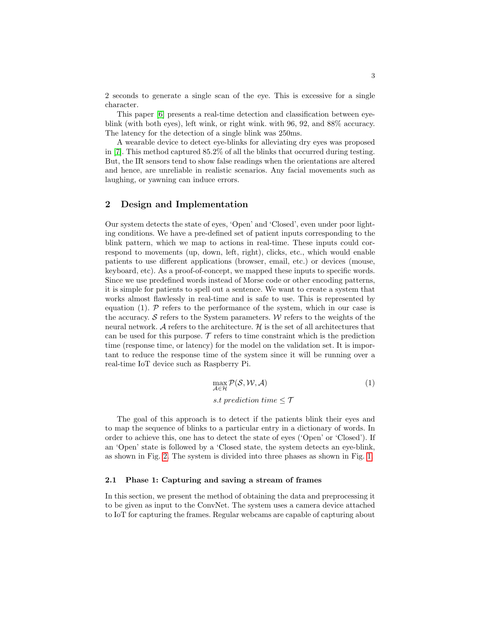2 seconds to generate a single scan of the eye. This is excessive for a single character.

This paper [\[6\]](#page-7-6) presents a real-time detection and classification between eyeblink (with both eyes), left wink, or right wink. with 96, 92, and 88% accuracy. The latency for the detection of a single blink was 250ms.

A wearable device to detect eye-blinks for alleviating dry eyes was proposed in [\[7\]](#page-7-2). This method captured 85.2% of all the blinks that occurred during testing. But, the IR sensors tend to show false readings when the orientations are altered and hence, are unreliable in realistic scenarios. Any facial movements such as laughing, or yawning can induce errors.

## 2 Design and Implementation

Our system detects the state of eyes, 'Open' and 'Closed', even under poor lighting conditions. We have a pre-defined set of patient inputs corresponding to the blink pattern, which we map to actions in real-time. These inputs could correspond to movements (up, down, left, right), clicks, etc., which would enable patients to use different applications (browser, email, etc.) or devices (mouse, keyboard, etc). As a proof-of-concept, we mapped these inputs to specific words. Since we use predefined words instead of Morse code or other encoding patterns, it is simple for patients to spell out a sentence. We want to create a system that works almost flawlessly in real-time and is safe to use. This is represented by equation (1).  $\mathcal P$  refers to the performance of the system, which in our case is the accuracy.  $S$  refers to the System parameters. W refers to the weights of the neural network. A refers to the architecture.  $\mathcal{H}$  is the set of all architectures that can be used for this purpose.  $\mathcal T$  refers to time constraint which is the prediction time (response time, or latency) for the model on the validation set. It is important to reduce the response time of the system since it will be running over a real-time IoT device such as Raspberry Pi.

$$
\max_{\mathcal{A}\in\mathcal{H}} \mathcal{P}(\mathcal{S}, \mathcal{W}, \mathcal{A})
$$
\n
$$
s.t \text{ prediction time} \leq \mathcal{T}
$$
\n
$$
(1)
$$

The goal of this approach is to detect if the patients blink their eyes and to map the sequence of blinks to a particular entry in a dictionary of words. In order to achieve this, one has to detect the state of eyes ('Open' or 'Closed'). If an 'Open' state is followed by a 'Closed state, the system detects an eye-blink, as shown in Fig. [2.](#page-5-0) The system is divided into three phases as shown in Fig. [1.](#page-1-0)

### 2.1 Phase 1: Capturing and saving a stream of frames

In this section, we present the method of obtaining the data and preprocessing it to be given as input to the ConvNet. The system uses a camera device attached to IoT for capturing the frames. Regular webcams are capable of capturing about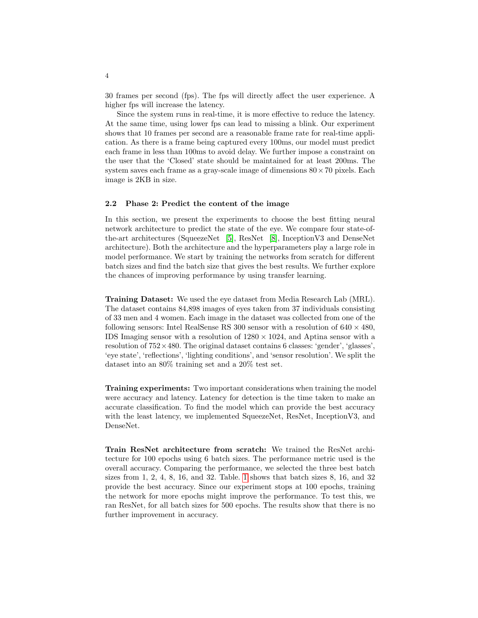30 frames per second (fps). The fps will directly affect the user experience. A higher fps will increase the latency.

Since the system runs in real-time, it is more effective to reduce the latency. At the same time, using lower fps can lead to missing a blink. Our experiment shows that 10 frames per second are a reasonable frame rate for real-time application. As there is a frame being captured every 100ms, our model must predict each frame in less than 100ms to avoid delay. We further impose a constraint on the user that the 'Closed' state should be maintained for at least 200ms. The system saves each frame as a gray-scale image of dimensions  $80 \times 70$  pixels. Each image is 2KB in size.

#### 2.2 Phase 2: Predict the content of the image

In this section, we present the experiments to choose the best fitting neural network architecture to predict the state of the eye. We compare four state-ofthe-art architectures (SqueezeNet [\[5\]](#page-7-7), ResNet [\[8\]](#page-7-8), InceptionV3 and DenseNet architecture). Both the architecture and the hyperparameters play a large role in model performance. We start by training the networks from scratch for different batch sizes and find the batch size that gives the best results. We further explore the chances of improving performance by using transfer learning.

Training Dataset: We used the eye dataset from Media Research Lab (MRL). The dataset contains 84,898 images of eyes taken from 37 individuals consisting of 33 men and 4 women. Each image in the dataset was collected from one of the following sensors: Intel RealSense RS 300 sensor with a resolution of  $640 \times 480$ , IDS Imaging sensor with a resolution of  $1280 \times 1024$ , and Aptina sensor with a resolution of  $752 \times 480$ . The original dataset contains 6 classes: 'gender', 'glasses', 'eye state', 'reflections', 'lighting conditions', and 'sensor resolution'. We split the dataset into an 80% training set and a 20% test set.

Training experiments: Two important considerations when training the model were accuracy and latency. Latency for detection is the time taken to make an accurate classification. To find the model which can provide the best accuracy with the least latency, we implemented SqueezeNet, ResNet, InceptionV3, and DenseNet.

Train ResNet architecture from scratch: We trained the ResNet architecture for 100 epochs using 6 batch sizes. The performance metric used is the overall accuracy. Comparing the performance, we selected the three best batch sizes from [1](#page-4-0), 2, 4, 8, 16, and 32. Table. 1 shows that batch sizes  $8$ , 16, and 32 provide the best accuracy. Since our experiment stops at 100 epochs, training the network for more epochs might improve the performance. To test this, we ran ResNet, for all batch sizes for 500 epochs. The results show that there is no further improvement in accuracy.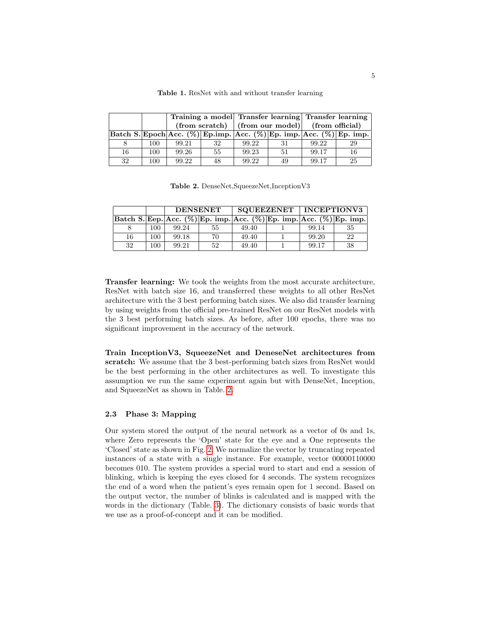|    |     |       |                 |                                                     |    | Training a model Transfer learning Transfer learning |                                                                              |  |
|----|-----|-------|-----------------|-----------------------------------------------------|----|------------------------------------------------------|------------------------------------------------------------------------------|--|
|    |     |       |                 | $(from scratch)$ $(from our model)$ (from official) |    |                                                      |                                                                              |  |
|    |     |       |                 |                                                     |    |                                                      | Batch S. Epoch Acc. $(\%)$ Ep.imp. Acc. $(\%)$ Ep. imp. Acc. $(\%)$ Ep. imp. |  |
|    | 100 | 99.21 | 32              | 99.22                                               | 31 | 99.22                                                | 29                                                                           |  |
| 16 | 100 | 99.26 | 55 <sub>1</sub> | 99.23                                               | 51 | 99.17                                                | 16                                                                           |  |
| 32 | 100 | 99.22 | 48.             | 99.22                                               | 49 | 99.17                                                | 25                                                                           |  |

<span id="page-4-0"></span>Table 1. ResNet with and without transfer learning

<span id="page-4-1"></span>Table 2. DenseNet,SqueezeNet,InceptionV3

|    |     |                                                                              | <b>DENSENET</b> |       | SQUEEZENET   INCEPTIONV3 |    |  |
|----|-----|------------------------------------------------------------------------------|-----------------|-------|--------------------------|----|--|
|    |     | Batch S. Eep. Acc. $(\%)$ Ep. imp. Acc. $(\%)$ Ep. imp. Acc. $(\%)$ Ep. imp. |                 |       |                          |    |  |
|    | 100 | 99.24                                                                        | 55              | 49.40 | 99.14                    | 35 |  |
| 16 | 100 | 99.18                                                                        | 70              | 49.40 | 99.20                    | 22 |  |
| 32 | 100 | 99.21                                                                        | 52              | 49.40 | 99.17                    | 38 |  |

Transfer learning: We took the weights from the most accurate architecture, ResNet with batch size 16, and transferred these weights to all other ResNet architecture with the 3 best performing batch sizes. We also did transfer learning by using weights from the official pre-trained ResNet on our ResNet models with the 3 best performing batch sizes. As before, after 100 epochs, there was no significant improvement in the accuracy of the network.

Train InceptionV3, SqueezeNet and DeneseNet architectures from scratch: We assume that the 3 best-performing batch sizes from ResNet would be the best performing in the other architectures as well. To investigate this assumption we run the same experiment again but with DenseNet, Inception, and SqueezeNet as shown in Table. [2.](#page-4-1)

## 2.3 Phase 3: Mapping

Our system stored the output of the neural network as a vector of 0s and 1s, where Zero represents the 'Open' state for the eye and a One represents the 'Closed' state as shown in Fig. [2.](#page-5-0) We normalize the vector by truncating repeated instances of a state with a single instance. For example, vector 00000110000 becomes 010. The system provides a special word to start and end a session of blinking, which is keeping the eyes closed for 4 seconds. The system recognizes the end of a word when the patient's eyes remain open for 1 second. Based on the output vector, the number of blinks is calculated and is mapped with the words in the dictionary (Table. [3\)](#page-5-1). The dictionary consists of basic words that we use as a proof-of-concept and it can be modified.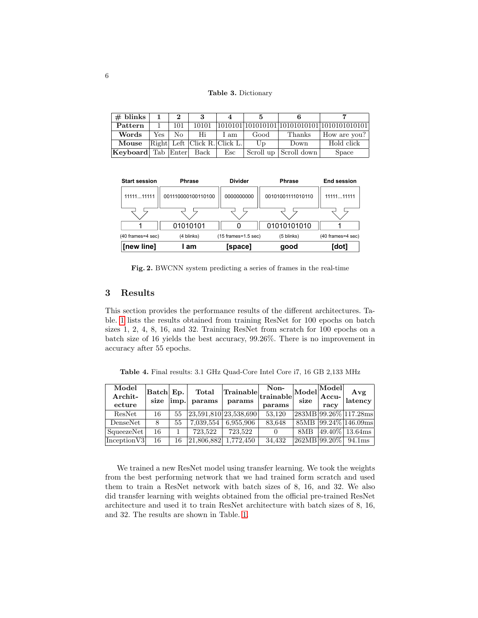<span id="page-5-1"></span>Table 3. Dictionary

| $\#$ blinks        |     |     |                              | 4    |      |                         |              |
|--------------------|-----|-----|------------------------------|------|------|-------------------------|--------------|
| Pattern            |     | 101 | 10101                        |      |      |                         |              |
| Words              | Yes | No. | Hi                           | I am | Good | Thanks                  | How are you? |
| Mouse              |     |     | Right Left Click R. Click L. |      | Up   | Down                    | Hold click   |
| Keyboard Tab Enter |     |     | Back                         | Esc  |      | Scroll up   Scroll down | <b>Space</b> |



<span id="page-5-0"></span>Fig. 2. BWCNN system predicting a series of frames in the real-time

## 3 Results

This section provides the performance results of the different architectures. Table. [1](#page-4-0) lists the results obtained from training ResNet for 100 epochs on batch sizes 1, 2, 4, 8, 16, and 32. Training ResNet from scratch for 100 epochs on a batch size of 16 yields the best accuracy, 99.26%. There is no improvement in accuracy after 55 epochs.

<span id="page-5-2"></span>Table 4. Final results: 3.1 GHz Quad-Core Intel Core i7, 16 GB 2,133 MHz

| Model<br>Archit-<br>ecture | Batch Ep.<br>size | imp. | Total<br>params | $ \text{Trainable} $ trainable $ ^{\text{iv}}$<br>params | Non-<br>params | Model<br>size | $\vert\text{Model}\vert$<br>$Accu-$<br>racv | Avg<br>latency            |
|----------------------------|-------------------|------|-----------------|----------------------------------------------------------|----------------|---------------|---------------------------------------------|---------------------------|
| ResNet                     | 16                | 55   |                 | 23,591,810 23,538,690                                    | 53.120         |               |                                             | $ 283MB 99.26\% 117.28ms$ |
| DenseNet                   | 8                 | 55   | 7,039,554       | 6,955,906                                                | 83,648         | 85MB          |                                             | $ 99.24\% 146.09ms $      |
| SqueezeNet                 | 16                |      | 723.522         | 723,522                                                  | 0              | 8MB           | 49.40%                                      | 13.64 <sub>ms</sub>       |
| Inception V3               | 16                | 16   | 21,806,882      | 1,772,450                                                | 34.432         |               | $ 262MB 99.20\% $                           | 94.1ms                    |

We trained a new ResNet model using transfer learning. We took the weights from the best performing network that we had trained form scratch and used them to train a ResNet network with batch sizes of 8, 16, and 32. We also did transfer learning with weights obtained from the official pre-trained ResNet architecture and used it to train ResNet architecture with batch sizes of 8, 16, and 32. The results are shown in Table. [1.](#page-4-0)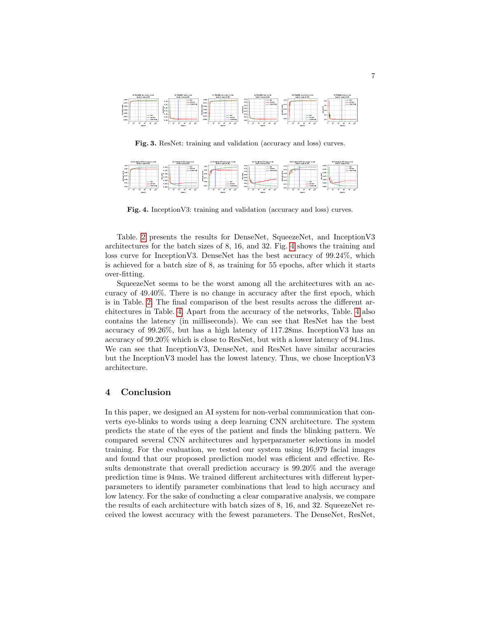

Fig. 3. ResNet: training and validation (accuracy and loss) curves.



<span id="page-6-0"></span>Fig. 4. InceptionV3: training and validation (accuracy and loss) curves.

Table. [2](#page-4-1) presents the results for DenseNet, SqueezeNet, and InceptionV3 architectures for the batch sizes of 8, 16, and 32. Fig. [4](#page-6-0) shows the training and loss curve for InceptionV3. DenseNet has the best accuracy of 99.24%, which is achieved for a batch size of 8, as training for 55 epochs, after which it starts over-fitting.

SqueezeNet seems to be the worst among all the architectures with an accuracy of 49.40%. There is no change in accuracy after the first epoch, which is in Table. [2.](#page-4-1) The final comparison of the best results across the different architectures in Table. [4.](#page-5-2) Apart from the accuracy of the networks, Table. [4](#page-5-2) also contains the latency (in milliseconds). We can see that ResNet has the best accuracy of 99.26%, but has a high latency of 117.28ms. InceptionV3 has an accuracy of 99.20% which is close to ResNet, but with a lower latency of 94.1ms. We can see that InceptionV3, DenseNet, and ResNet have similar accuracies but the InceptionV3 model has the lowest latency. Thus, we chose InceptionV3 architecture.

## 4 Conclusion

In this paper, we designed an AI system for non-verbal communication that converts eye-blinks to words using a deep learning CNN architecture. The system predicts the state of the eyes of the patient and finds the blinking pattern. We compared several CNN architectures and hyperparameter selections in model training. For the evaluation, we tested our system using 16,979 facial images and found that our proposed prediction model was efficient and effective. Results demonstrate that overall prediction accuracy is 99.20% and the average prediction time is 94ms. We trained different architectures with different hyperparameters to identify parameter combinations that lead to high accuracy and low latency. For the sake of conducting a clear comparative analysis, we compare the results of each architecture with batch sizes of 8, 16, and 32. SqueezeNet received the lowest accuracy with the fewest parameters. The DenseNet, ResNet,